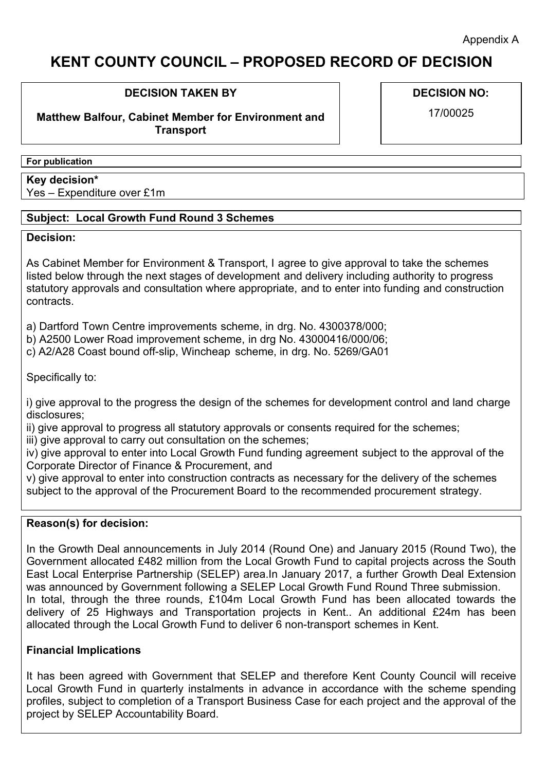# **KENT COUNTY COUNCIL – PROPOSED RECORD OF DECISION**

## **DECISION TAKEN BY**

**Matthew Balfour, Cabinet Member for Environment and Transport**

**DECISION NO:**

17/00025

#### **For publication**

**Key decision\*** Yes – Expenditure over £1m

## **Subject: Local Growth Fund Round 3 Schemes**

## **Decision:**

As Cabinet Member for Environment & Transport, I agree to give approval to take the schemes listed below through the next stages of development and delivery including authority to progress statutory approvals and consultation where appropriate, and to enter into funding and construction contracts.

a) Dartford Town Centre improvements scheme, in drg. No. 4300378/000;

b) A2500 Lower Road improvement scheme, in drg No. 43000416/000/06;

c) A2/A28 Coast bound off-slip, Wincheap scheme, in drg. No. 5269/GA01

Specifically to:

i) give approval to the progress the design of the schemes for development control and land charge disclosures;

ii) give approval to progress all statutory approvals or consents required for the schemes;

iii) give approval to carry out consultation on the schemes;

iv) give approval to enter into Local Growth Fund funding agreement subject to the approval of the Corporate Director of Finance & Procurement, and

v) give approval to enter into construction contracts as necessary for the delivery of the schemes subject to the approval of the Procurement Board to the recommended procurement strategy.

# **Reason(s) for decision:**

In the Growth Deal announcements in July 2014 (Round One) and January 2015 (Round Two), the Government allocated £482 million from the Local Growth Fund to capital projects across the South East Local Enterprise Partnership (SELEP) area.In January 2017, a further Growth Deal Extension was announced by Government following a SELEP Local Growth Fund Round Three submission. In total, through the three rounds, £104m Local Growth Fund has been allocated towards the delivery of 25 Highways and Transportation projects in Kent.. An additional £24m has been allocated through the Local Growth Fund to deliver 6 non-transport schemes in Kent.

# **Financial Implications**

It has been agreed with Government that SELEP and therefore Kent County Council will receive Local Growth Fund in quarterly instalments in advance in accordance with the scheme spending profiles, subject to completion of a Transport Business Case for each project and the approval of the project by SELEP Accountability Board.